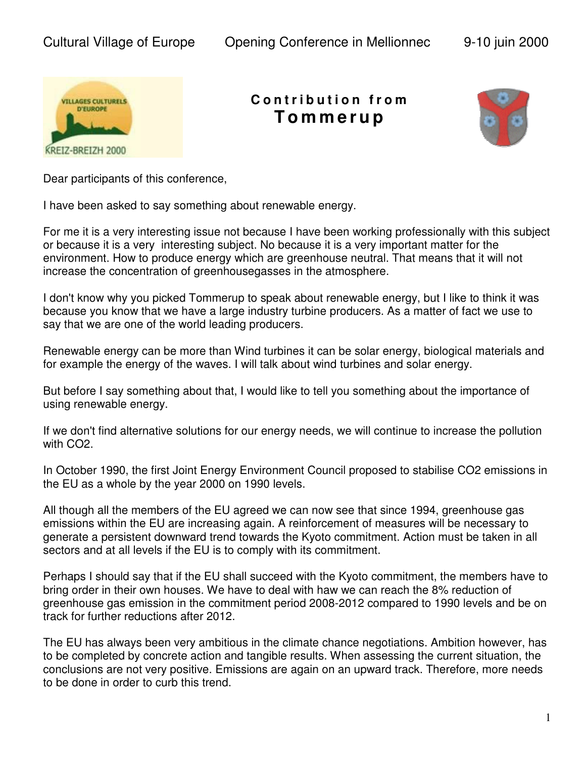

## **C o n t r i b u t i o n f r o m T o m m e r u p**



Dear participants of this conference,

I have been asked to say something about renewable energy.

For me it is a very interesting issue not because I have been working professionally with this subject or because it is a very interesting subject. No because it is a very important matter for the environment. How to produce energy which are greenhouse neutral. That means that it will not increase the concentration of greenhousegasses in the atmosphere.

I don't know why you picked Tommerup to speak about renewable energy, but I like to think it was because you know that we have a large industry turbine producers. As a matter of fact we use to say that we are one of the world leading producers.

Renewable energy can be more than Wind turbines it can be solar energy, biological materials and for example the energy of the waves. I will talk about wind turbines and solar energy.

But before I say something about that, I would like to tell you something about the importance of using renewable energy.

If we don't find alternative solutions for our energy needs, we will continue to increase the pollution with CO2.

In October 1990, the first Joint Energy Environment Council proposed to stabilise CO2 emissions in the EU as a whole by the year 2000 on 1990 levels.

All though all the members of the EU agreed we can now see that since 1994, greenhouse gas emissions within the EU are increasing again. A reinforcement of measures will be necessary to generate a persistent downward trend towards the Kyoto commitment. Action must be taken in all sectors and at all levels if the EU is to comply with its commitment.

Perhaps I should say that if the EU shall succeed with the Kyoto commitment, the members have to bring order in their own houses. We have to deal with haw we can reach the 8% reduction of greenhouse gas emission in the commitment period 2008-2012 compared to 1990 levels and be on track for further reductions after 2012.

The EU has always been very ambitious in the climate chance negotiations. Ambition however, has to be completed by concrete action and tangible results. When assessing the current situation, the conclusions are not very positive. Emissions are again on an upward track. Therefore, more needs to be done in order to curb this trend.